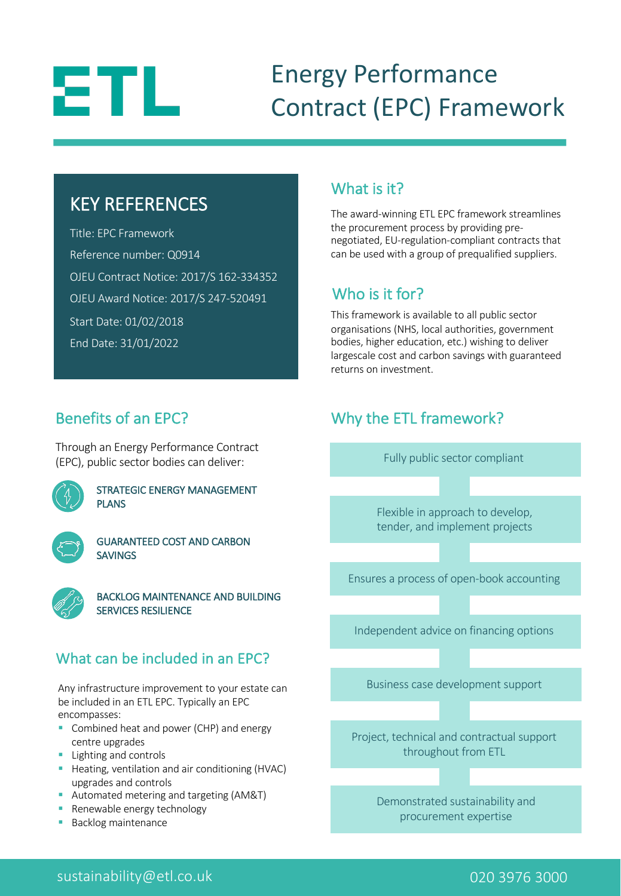# ΞTL

# Energy Performance Contract (EPC) Framework

### KEY REFERENCES

Title: EPC Framework Reference number: Q0914 OJEU Contract Notice: 2017/S 162-334352 OJEU Award Notice: 2017/S 247-520491 Start Date: 01/02/2018 End Date: 31/01/2022

#### What is it?

The award-winning ETL EPC framework streamlines the procurement process by providing prenegotiated, EU-regulation-compliant contracts that can be used with a group of prequalified suppliers.

#### Who is it for?

This framework is available to all public sector organisations (NHS, local authorities, government bodies, higher education, etc.) wishing to deliver largescale cost and carbon savings with guaranteed returns on investment.

#### Benefits of an EPC?

Through an Energy Performance Contract (EPC), public sector bodies can deliver:



STRATEGIC ENERGY MANAGEMENT PLANS

GUARANTEED COST AND CARBON **SAVINGS** 



BACKLOG MAINTENANCE AND BUILDING SERVICES RESILIENCE

#### What can be included in an EPC?

Any infrastructure improvement to your estate can be included in an ETL EPC. Typically an EPC encompasses:

- Combined heat and power (CHP) and energy centre upgrades
- Lighting and controls
- Heating, ventilation and air conditioning (HVAC) upgrades and controls
- Automated metering and targeting (AM&T)
- Renewable energy technology
- **Backlog maintenance**





#### sustainability@etl.co.uk 020 3976 3000